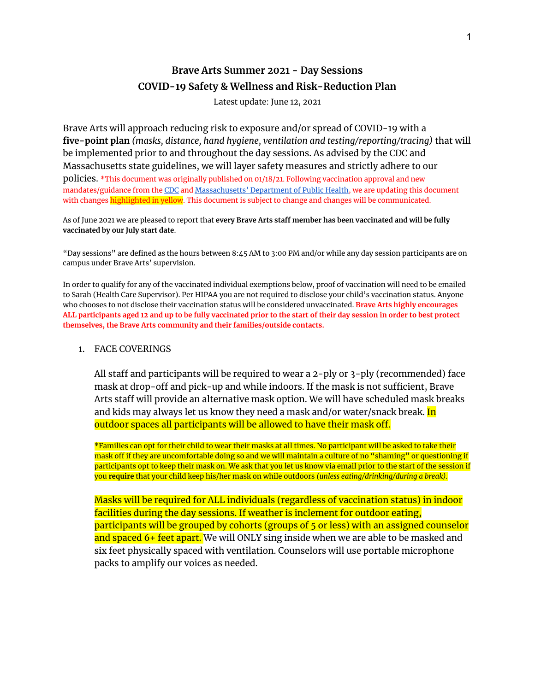# **Brave Arts Summer 2021 - Day Sessions COVID-19 Safety & Wellness and Risk-Reduction Plan**

Latest update: June 12, 2021

Brave Arts will approach reducing risk to exposure and/or spread of COVID-19 with a **five-point plan** *(masks, distance, hand hygiene, ventilation and testing/reporting/tracing)* that will be implemented prior to and throughout the day sessions. As advised by the CDC and Massachusetts state guidelines, we will layer safety measures and strictly adhere to our

policies. \*This document was originally published on 01/18/21. Following vaccination approval and new mandates/guidance from the [CDC](https://www.cdc.gov/coronavirus/2019-ncov/community/schools-childcare/summer-camps.html#anchor_1621975843071) and [Massachusetts'](https://www.mass.gov/doc/recreational-camps-and-programs-health-and-safety-standards-for-reopening/download?_ga=2.244976899.784112094.1623000814-1027957350.1623000814) Department of Public Health, we are updating this document with changes highlighted in yellow. This document is subject to change and changes will be communicated.

As of June 2021 we are pleased to report that **every Brave Arts staff member has been vaccinated and will be fully vaccinated by our July start date**.

"Day sessions" are defined as the hours between 8:45 AM to 3:00 PM and/or while any day session participants are on campus under Brave Arts' supervision.

In order to qualify for any of the vaccinated individual exemptions below, proof of vaccination will need to be emailed to Sarah (Health Care Supervisor). Per HIPAA you are not required to disclose your child's vaccination status. Anyone who chooses to not disclose their vaccination status will be considered unvaccinated. **Brave Arts highly encourages** ALL participants aged 12 and up to be fully vaccinated prior to the start of their day session in order to best protect **themselves, the Brave Arts community and their families/outside contacts.**

#### 1. FACE COVERINGS

All staff and participants will be required to wear a 2-ply or 3-ply (recommended) face mask at drop-off and pick-up and while indoors. If the mask is not sufficient, Brave Arts staff will provide an alternative mask option. We will have scheduled mask breaks and kids may always let us know they need a mask and/or water/snack break. <mark>In</mark> outdoor spaces all participants will be allowed to have their mask off.

\*Families can opt for their child to wear their masks at all times. No participant will be asked to take their mask off if they are uncomfortable doing so and we will maintain a culture of no "shaming" or questioning if participants opt to keep their mask on. We ask that you let us know via email prior to the start of the session if you **require** that your child keep his/her mask on while outdoors *(unless eating/drinking/during a break).*

Masks will be required for ALL individuals (regardless of vaccination status) in indoor facilities during the day sessions. If weather is inclement for outdoor eating, participants will be grouped by cohorts (groups of 5 or less) with an assigned counselor and spaced 6+ feet apart. We will ONLY sing inside when we are able to be masked and six feet physically spaced with ventilation. Counselors will use portable microphone packs to amplify our voices as needed.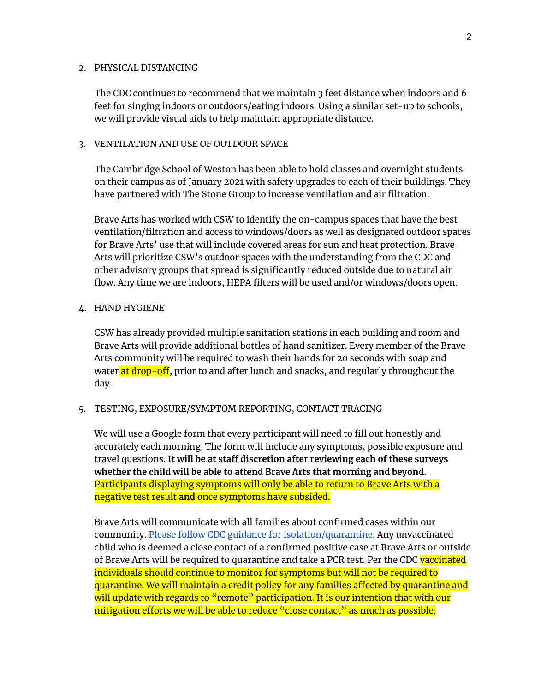#### 2. PHYSICAL DISTANCING

The CDC continues to recommend that we maintain 3 feet distance when indoors and 6 feet for singing indoors or outdoors/eating indoors. Using a similar set-up to schools, we will provide visual aids to help maintain appropriate distance.

#### 3. VENTILATION AND USE OF OUTDOOR SPACE

The Cambridge School of Weston has been able to hold classes and overnight students on their campus as of January 2021 with safety upgrades to each of their buildings. They have partnered with The Stone Group to increase ventilation and air filtration.

Brave Arts has worked with CSW to identify the on-campus spaces that have the best ventilation/filtration and access to windows/doors as well as designated outdoor spaces for Brave Arts' use that will include covered areas for sun and heat protection. Brave Arts will prioritize CSW's outdoor spaces with the understanding from the CDC and other advisory groups that spread is significantly reduced outside due to natural air flow. Any time we are indoors, HEPA filters will be used and/or windows/doors open.

## 4. HAND HYGIENE

CSW has already provided multiple sanitation stations in each building and room and Brave Arts will provide additional bottles of hand sanitizer. Every member of the Brave Arts community will be required to wash their hands for 20 seconds with soap and water at drop-off, prior to and after lunch and snacks, and regularly throughout the day.

## 5. TESTING, EXPOSURE/SYMPTOM REPORTING, CONTACT TRACING

We will use a Google form that every participant will need to fill out honestly and accurately each morning. The form will include any symptoms, possible exposure and travel questions. **It will be at staff discretion after reviewing each of these surveys whether the child will be able to attend Brave Arts that morning and beyond.** Participants displaying symptoms will only be able to return to Brave Arts with a negative test result **and** once symptoms have subsided.

Brave Arts will communicate with all families about confirmed cases within our community. Please follow CDC guidance for [isolation/quarantine.](https://www.mass.gov/info-details/covid-19-isolation-and-quarantine-information) Any unvaccinated child who is deemed a close contact of a confirmed positive case at Brave Arts or outside of Brave Arts will be required to quarantine and take a PCR test. Per the CDC vaccinated individuals should continue to monitor for symptoms but will not be required to quarantine. We will maintain a credit policy for any families affected by quarantine and will update with regards to "remote" participation. It is our intention that with our mitigation efforts we will be able to reduce "close contact" as much as possible.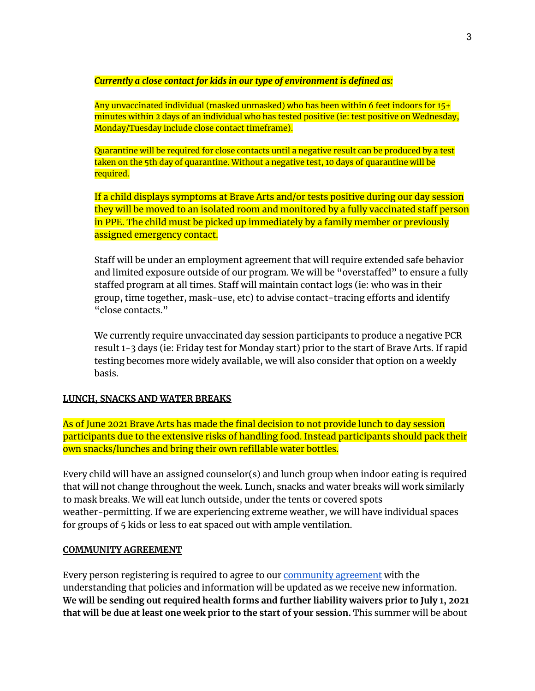*Currently a close contact for kids in our type of environment is defined as:*

Any unvaccinated individual (masked unmasked) who has been within 6 feet indoors for 15+ minutes within 2 days of an individual who has tested positive (ie: test positive on Wednesday, Monday/Tuesday include close contact timeframe).

Quarantine will be required for close contacts until a negative result can be produced by a test taken on the 5th day of quarantine. Without a negative test, 10 days of quarantine will be required.

If a child displays symptoms at Brave Arts and/or tests positive during our day session they will be moved to an isolated room and monitored by a fully vaccinated staff person in PPE. The child must be picked up immediately by a family member or previously assigned emergency contact.

Staff will be under an employment agreement that will require extended safe behavior and limited exposure outside of our program. We will be "overstaffed" to ensure a fully staffed program at all times. Staff will maintain contact logs (ie: who was in their group, time together, mask-use, etc) to advise contact-tracing efforts and identify "close contacts."

We currently require unvaccinated day session participants to produce a negative PCR result 1-3 days (ie: Friday test for Monday start) prior to the start of Brave Arts. If rapid testing becomes more widely available, we will also consider that option on a weekly basis.

## **LUNCH, SNACKS AND WATER BREAKS**

As of June 2021 Brave Arts has made the final decision to not provide lunch to day session participants due to the extensive risks of handling food. Instead participants should pack their own snacks/lunches and bring their own refillable water bottles.

Every child will have an assigned counselor(s) and lunch group when indoor eating is required that will not change throughout the week. Lunch, snacks and water breaks will work similarly to mask breaks. We will eat lunch outside, under the tents or covered spots weather-permitting. If we are experiencing extreme weather, we will have individual spaces for groups of 5 kids or less to eat spaced out with ample ventilation.

#### **COMMUNITY AGREEMENT**

Every person registering is required to agree to our [community](https://12c9eecf-c4fa-ffac-8787-ca27182545b8.filesusr.com/ugd/564884_a255a9261dcd4014b73fd64feda21faa.pdf) agreement with the understanding that policies and information will be updated as we receive new information. **We will be sending out required health forms and further liability waivers prior to July 1, 2021 that will be due at least one week prior to the start of your session.** This summer will be about